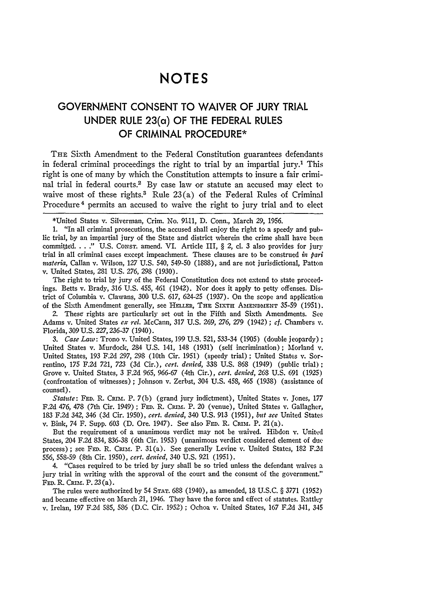## **NOTES**

## **GOVERNMENT CONSENT** TO WAIVER OF **JURY** TRIAL **UNDER** RULE 23(a) OF THE FEDERAL **RULES** OF CRIMINAL PROCEDURE\*

THE Sixth Amendment to the Federal Constitution guarantees defendants in federal criminal proceedings the right to trial by an impartial jury.<sup>1</sup> This right is one of many by which the Constitution attempts to insure a fair criminal trial in federal courts.<sup>2</sup> By case law or statute an accused may elect to waive most of these rights.<sup>3</sup> Rule 23(a) of the Federal Rules of Criminal Procedure<sup>4</sup> permits an accused to waive the right to jury trial and to elect

1. "In all criminal prosecutions, the accused shall enjoy the right to a speedy and public trial, by an impartial jury of the State and district wherein the crime shall have been committed. . . . " U.S. Consr. amend. VI. Article III, § 2, cl. 3 also provides for jury trial in all criminal cases except impeachment. These clauses are to be construed *in pari materia,* Callan v. Wilson, 127 U.S. 540, 549-50 (1888), and are not jurisdictional, Patton v. United States, 281 U.S. 276, 298 (1930).

The right to trial by jury of the Federal Constitution does not extend to state proceedings. Betts v. Brady, 316 U.S. 455, 461 (1942). Nor does it apply to petty offenses. District of Columbia v. Clawans, 300 U.S. 617, 624-25 (1937). On the scope and application of the **Sixth** Amendment generally, see HELLER, THE SIXTH AMENDMENT 35-59 (1951).

2. These rights are particularly set out in the Fifth and Sixth Amendments. See Adams v. United States *ex rel.* McCann, **317** U.S. 269, *276,* 279 (1942) ; *cf.* Chambers v. Florida, 309 U.S. 227,236-37 (1940).

*3. Case Law:* Trono v. United States, 199 U.S. 521, 533-34 (1905) (double jeopardy); United States v. Murdock, 284 U.S. 141, 148 (1931) (self incrimination); Morland v. United States, 193 F.2d 297, 298 (10th Cir. 1951) (speedy trial) ; United States v. Sorrentino, 175 F.2d 721, 723 (3d Cir.), *cert. denied,* 338 U.S. 868 (1949) (public trial); Grove v. United States, 3 F.2d 965, 966-67 (4th Cir.), *cert. denied,* 268 U.S. 691 (1925) (confrontation of witnesses) ; Johnson v. Zerbst, 304 U.S. 458, 465 (1938) (assistance of counsel).

*Statute:* **FED.** R. *Cxms.* P. 7(b) (grand jury indictment), United States v. Jones, 177 F.2d 476, 478 (7th Cir. 1949) ; **FED.** R. CPam. P. 20 (venue), United States v. Gallagher, 183 F.2d 342, 346 (3d Cir. 1950), *cert. denied,* 340 U.S. 913 (1951), *but see* United States v. Bink, 74 F. Supp. 603 (D. Ore. 1947). See also FED. R. CRIM. P. 21(a).

But the requirement of a unanimous verdict may not be waived. Hibdon v. United States, 204 F.2d 834, 836-38 (6th Cir. 1953) (unanimous verdict considered element of due process) ; see FED. R. **Cram.** P. 31(a). See generally Levine v. United States, 182 F.2d 556, 558-59 (8th Cir. 1950), *cert. denied,* 340 U.S. 921 (1951).

4. "Cases required to be tried by jury shall be so tried unless the defendant waives a jury trial in writing with the approval of the court and the consent of the government." FED. R. CRIm. P. 23 (a).

The rules were authorized by 54 **STAT.** 688 (1940), as amended, 18 U.S.C. § 3771 (1952) and became effective on March 21, 1946. They have the force and effect of statutes. Rattley v. Irelan, 197 F.2d 585, 586 (D.C. Cir. 1952) ; Ochoa v. United States, 167 F.2d 341, 345

<sup>\*</sup>United States v. Silverman, Crim. No. 91.11, D. Conn., March 29, 1956.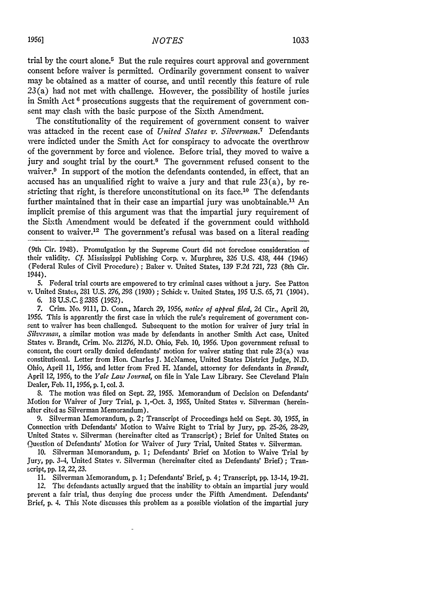trial by the court alone.<sup>5</sup> But the rule requires court approval and government consent before waiver is permitted. Ordinarily government consent to waiver may be obtained as a matter of course, and until recently this feature of rule 23(a) had not met with challenge. However, the possibility of hostile juries in Smith Act **6** prosecutions suggests that the requirement of government consent may clash with the basic purpose of the Sixth Amendment.

The constitutionality of the requirement of government consent to waiver was attacked in the recent case of *United States v. Silverman*.<sup>7</sup> Defendants were indicted under the Smith Act for conspiracy to advocate the overthrow of the government by force and violence. Before trial, they moved to waive a jury and sought trial by the court.<sup>8</sup> The government refused consent to the waiver.<sup>0</sup> In support of the motion the defendants contended, in effect, that an accused has an unqualified right to waive a jury and that rule  $23(a)$ , by restricting that right, is therefore unconstitutional on its face.<sup>10</sup> The defendants further maintained that in their case an impartial jury was unobtainable.<sup>11</sup> An implicit premise of this argument was that the impartial jury requirement of the Sixth Amendment would be defeated if the government could withhold, consent to waiver.12 The government's refusal was based on a literal reading

(9th Cir. 1948). Promulgation by the Supreme Court did not foreclose consideration of their validity. *Cf.* Mississippi Publishing Corp. v. Murphree, 326 U.S. 438, 444 (1946) (Federal Rules of Civil Procedure) ; Baker v. United States, 139 F.2d *721, 723* (8th Cir. 1944).

**5.** Federal trial courts are empowered to try criminal cases without a jury. See Patton v. United States, 281 U.S. *276, 298* (1930) ; Schick v. United States, 195 U.S. 65, 71 (1904).

6. **18** U.S.C. **§** 2385 (1952).

7. Crim. No. 9111, D. Conn., March 29, 1956, *notice of appeal filed,* 2d Cir., April 20, 1956. This is apparently the first case in which the rule's requirement of government consent to waiver has been challenged. Subsequent to the motion for waiver of jury trial in *Silverman,* a similar motion was made by defendants in another Smith Act case, United States v. Brandt, Crim. No. *21276,* N.D. Ohio, Feb. 10, 1956. Upon government refusal to consent, the court orally denied defendants' motion for waiver stating that rule 23(a) was constitutional. Letter from Hon. Charles **J.** McNamee, United States District Judge, N.D. Ohio, April 11, 1956, and letter from Fred H. Mandel, attorney for defendants in *Brandt,* April 12, 1956, to the *Yale Law Journal,* on file in Yale Law Library. See Cleveland Plain Dealer, Feb. 11, 1956, p. 1, col. 3.

8. The motion was filed on Sept. 22, 1955. Memorandum of Decision on Defendants' Motion for Waiver of Jury Trial, p. 1,-Oct. 3, 1955, United States v. Silverman (hereinafter cited as Silverman Memorandum).

9. Silverman Memorandum, p. 2; Transcript of Proceedings held on Sept. 30, 1955, in Connection with Defendants' Motion to Waive Right to Trial by Jury, pp. 25-26, 28-29, United States v. Silverman (hereinafter cited as Transcript) ; Brief for United States on Question of Defendants' Motion for Waiver of Jury Trial, United States v. Silverman.

10. Silverman Memorandum, p. 1; Defendants' Brief on Motion to Waive Trial by Jury, pp. 3-4, United States v. Silverman (hereinafter cited as Defendants' Brief) ; Transcript, pp. 12, 22, 23.

11. Silverman Memorandum, p. 1; Defendants' Brief, p. 4; Transcript, pp. 13-14, 19-21.

12. The defendants actually argued that the inability to obtain an impartial jury would prevent a fair trial, thus denying due process under the Fifth Amendment. Defendants' Brief, p. 4. This Note discusses this problem as a possible violation of the impartial jury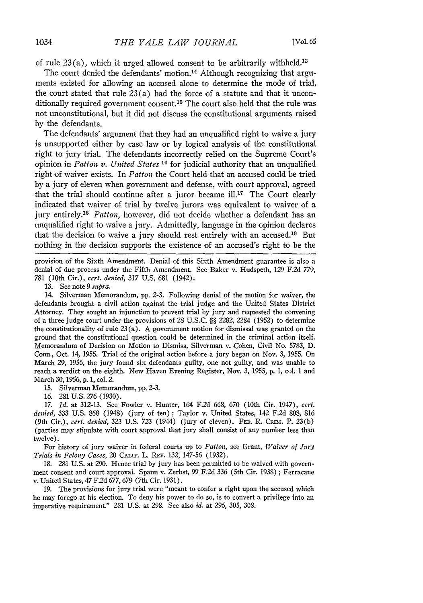of rule  $23(a)$ , which it urged allowed consent to be arbitrarily withheld.<sup>13</sup>

The court denied the defendants' motion.<sup>14</sup> Although recognizing that arguments existed for allowing an accused alone to determine the mode of trial, the court stated that rule  $23(a)$  had the force of a statute and that it unconditionally required government consent.<sup>15</sup> The court also held that the rule was not unconstitutional, but it did not discuss the constitutional arguments raised by the defendants.

The defendants' argument that they had an unqualified right to waive a jury is unsupported either by case law or by logical analysis of the constitutional right to jury trial. The defendants incorrectly relied on the Supreme Court's opinion in *Patton v. United States 16* for judicial authority that an unqualified right of waiver exists. In *Patton* the Court held that an accused could be tried by a jury of eleven when government and defense, with court approval, agreed that the trial should continue after a juror became ill.<sup>17</sup> The Court clearly indicated that waiver of trial by twelve jurors was equivalent to waiver of a jury entirely.<sup>18</sup> Patton, however, did not decide whether a defendant has an unqualified right to waive a jury. Admittedly, language in the opinion declares that the decision to waive a jury should rest entirely with an accused.<sup>19</sup> But nothing in the decision supports the existence of an accused's right to be the

provision of the Sixth Amendment. Denial of this Sixth Amendment guarantee is also a denial of due process under the Fifth Amendment. See Baker v. Hudspeth, 129 F.2d 779, 781 (10th Cir.), *cert. denied, 317* U.S. 681 (1942).

13. See note 9 *supra.*

14. Silverman Memorandum, pp. 2-3. Following denial of the motion for waiver, the defendants brought a civil action against the trial judge and the United States District Attorney. They sought an injunction to prevent trial by jury and requested the convening of a three judge court under the provisions of 28 U.S.C. §§ 2282, 2284 (1952) to determine the constitutionality of rule  $23(a)$ . A government motion for dismissal was granted on the ground that the constitutional question could be determined in the criminal action itself. Memorandum of Decision on Motion to Dismiss, Silverman v. Cohen, Civil No. 5783, D. Conn., Oct. 14, 1955. Trial of the original action before a jury began on Nov. 3, 1955. On March 29, 1956, the jury found six defendants guilty, one not guilty, and was unable to reach a verdict on the eighth. New Haven Evening Register, Nov. 3, 1955, p. 1, col. 1 and March 30, 1956, p. 1, col. 2.

**15.** Silverman Memorandum, pp. 2-3.

16. 281 U.S. 276 (1930).

17. *Id.* at 312-13. See Fowler v. Hunter, 164 F.2d 668, 670 (10th Cir. 1947), *cert. denied,* 333 U.S. 868 (1948) (jury of ten) ; Taylor v. United States, 142 F.2d 808, 816 (9th Cir.), *cert. denied,* 323 **U.S. 723** (1.944) (jury of eleven). **FED.** R. **CIMu.** P. 23(b) (parties may stipulate with court approval that jury shall consist of any number less than twelve).

For history of jury waiver in federal courts up to Patton, see Grant, *Waiver of Jury*  $Trials$  in Felony Cases, 20 CALIF. L. REV. 132, 147-56 (1932).

**18. 281 U.S.** at **290.** Hence trial **by** jury has been permitted to be waived with government consent and court approval. Spann v. Zerbst, **99 F.2d** 336 (5th Cir. 1938) **;** Ferracane v. United States, 47 **F.2d 677, 679** (7th Cir. 1931).

**19.** The provisions for jury trial were "meant to confer a right upon the accused which he may forego at his election. To deny his power to do so, is to convert a privilege into an imperative requirement." 281 **U.S.** at **298.** See also *id.* at **296, 305, 308.**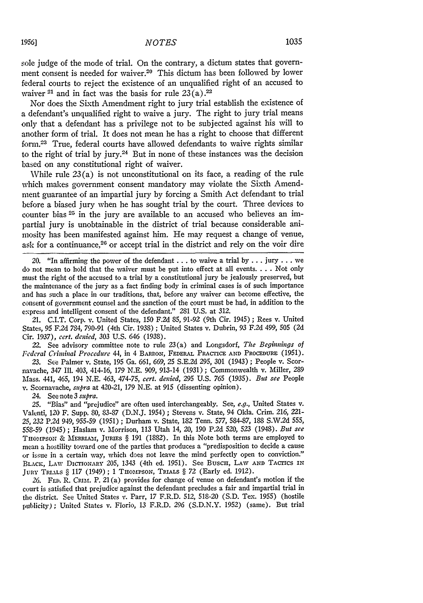sole judge of the mode of trial. On the contrary, a dictum states that government consent is needed for waiver.<sup>20</sup> This dictum has been followed by lower federal courts to reject the existence of an unqualified right of an accused to waiver  $21$  and in fact was the basis for rule  $23(a)$ .<sup>22</sup>

Nor does the Sixth Amendment right to jury trial establish the existence of a defendant's unqualified right to waive a jury. The right to jury trial means only that a defendant has a privilege not to be subjected against his will to another form of trial. It does not mean he has a right to choose that different **form.2 <sup>3</sup>**True, federal courts have allowed defendants to waive rights similar to the right of trial by jury.24 But in none of these instances was the decision based on any constitutional right of waiver.

While rule 23(a) is not unconstitutional on its face, a reading of the rule which makes government consent mandatory may violate the Sixth Amendment guarantee of an impartial jury by forcing a Smith Act defendant to trial before a biased jury when he has sought trial by the court. Three devices to counter bias **25** in the jury are available to an accused who believes an impartial jury is unobtainable in the district of trial because considerable animosity has been manifested against him. He may request a change of venue, ask for a continuance,<sup>26</sup> or accept trial in the district and rely on the voir dire

20. "In affirming the power of the defendant **...** to waive a trial by **. .** . jury **...** we do not mean to hold that the waiver must be put into effect at all events.... Not only must the right of the accused to a trial by a constitutional jury be jealously preserved, but the maintenance of the jury as a fact finding body in criminal cases is of such importance and has such a place in our traditions, that, before any waiver can become effective, the consent of government counsel and the sanction of the court must be had, in addition to the express and intelligent consent of the defendant." 281 U.S. at 312.

21. C.I.T. Corp. v. United States, 150 F.2d **85,** 91-92 (9th Cir. 1945) ; Rees v. United States, 95 F.2d 784, 790-91 (4th Cir. 1938) ; United States v. Dubrin, 93 F.2d 499, **505** (2d Cir. 1937), *cert. denied,* 303 U.S. 646 (1938).

22. See advisory committee note to rule 23(a) and Longsdorf, *The Beginnings of Fcdcral Criminal Procedure* 44, in 4 BARRON, **FEDERAL** PRACTICE **AND PROCEDURE** (1951).

23. See Palmer v. State, **195** Ga. 661, 669, **25** S.E.2d 295, 301 (1943) ; People v. Scornavache, 347 **I1.** 403, 414-16, 179 N.E. 909, 913-14 (1931) ; Commonwealth v. Miller, 289 Mass. 441, 465, 194 N.E. 463, *474-75, cert. denied,* **295** U.S. **765** (1935). *But see* People v. Scornavache, *supra* at 420-21, 179 N.E. at 915 (dissenting opinion).

24. Seenote 3 *supra.*

**25.** "Bias" and "prejudice" are often used interchangeably. See, *e.g.,* United States v. Valcnti, 120 F. Supp. **80,** 83-87 (D.N.J. 1954) **;** Stevens v. State, 94 Okla. Crim. 216, 221- *25, 232* P.2d 949, 955-59 (1951) ; Durham v. State, 182 Tenn. 577, 584-87, 188 S.W.2d **555,** 558-59 (1945) ; Haslam v. Morrison, 113 Utah 14, 20, 190 P.2d 520, *523* (1948). *But see* THOMPSON & MERRIAM, JURIES § 191 (1882). In this Note both terms are employed to mean a hostility toward one of the parties that produces a "predisposition to decide a cause or issue in a certain way, which does not leave the mind perfectly open to conviction." BLACK, LAW DICTIONARY 205, 1343 (4th ed. 1951). See Busch, LAW AND TACTICS IN JURY TRIALS § 117 (1949); 1 THOMPSON, TRIALS § 72 (Early ed. 1912).

26. **FED.** R. CRIu. P. 21 (a) provides for change of venue on defendant's motion if the court is satisfied that prejudice against the defendant precludes a fair and impartial trial in the district. See United States v. Parr, 17 F.R.D. 512, 518-20 (S.D. Tex. 1955) (hostile publicity); United States v. Florio, 13 F.R.D. 296 (S.D.N.Y. 1952) (same). But trial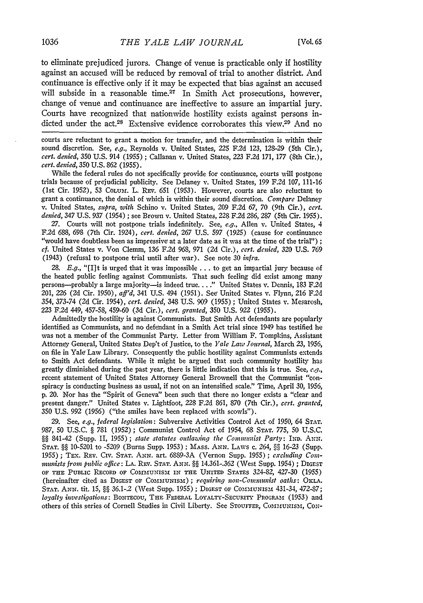to eliminate prejudiced jurors. Change of venue is practicable only if hostility against an accused will be reduced by removal of trial to another district. And continuance is effective only if it may be expected that bias against an accused will subside in a reasonable time.<sup>27</sup> In Smith Act prosecutions, however, change of venue and continuance are ineffective to assure an impartial jury. Courts have recognized that nationwide hostility exists against persons indicted under the act.<sup>28</sup> Extensive evidence corroborates this view.<sup>20</sup> And no

courts are reluctant to grant a motion for transfer, and the determination is within their sound discretion. See, e.g., Reynolds v. United States, 225 F.2d 123, 128-29 (5th Cir.), cert. *denied,* 350 U.S. 914 (1955) ; Callanan v. United States, 223 F.2d 171, **177** (8th Cir.), *cert. denied,* 350 U.S. 862 (1955).

While the federal rules do not specifically provide for continuance, courts will postpone trials because of prejudicial publicity. See Delaney v. United States, 199 F.2d 107, 111-16 (1st Cir. 1952), 53 COLUM. L. REV. 651 (1953). However, courts are also reluctant to grant a continuance, the denial of which is within their sound discretion. *Compare* Delaney v. United States, *supra, with* Schino v. United States, 209 F.2d 67, **70** (9th Cir.), *cert. denied,* 347 U.S. **937** (1954) ; see Brown v. United States, 228 F.2d 286, 287 (5th Cir. 1955).

27. Courts will not postpone trials indefinitely. See, *e.g.,* Allen v. United States, 4 F.2d 688, 698 (7th Cir. 1924), *cert. denied,* 267 U.S. **597** (1925) (cause for continuance "would have doubtless been as impressive at a later date as it was at the time of the trial") **;** *cf.* United States v. Von Clemm, 136 F.2d 968, **971** (2d Cir.), *cert. denied,* 320 U.S. 769 (1943) (refusal to postpone trial until after war). See note 30 *infra.*

*28. E.g.,* "[I]t is urged that it was impossible **...** to get an impartial jury because of the heated public feeling against Communists. That such feeling did exist among many persons-probably a large majority-is indeed true.. . **"** United States v. Dennis, **183** F.2d 201, 226 (2d Cir. 1950), *aff'd,* 341 U.S. 494 (1951). See United States v. Flynn, 216 F.2d 354, 373-74 (2d Cir. 1954), *cert. denied,* 348 U.S. 909 (1955) ; United States v. Mesarosh, 223 P.2d 449, 457-58, 459-60 **(3d** Cir.), *cert. granted,* **350** U.S. 922 (1955).

Admittedly the hostility is against Communists. But Smith Act defendants are popularly identified as Communists, and no defendant in a Smith Act trial since 1949 has testified he was not a member of the Communist Party. Letter from William F. Tompkins, Assistant Attorney General, United States Dep't of Justice, to the *Yale Law Journal,* March 23, 1956, on file in Yale Law Library. Consequently the public hostility against Communists extends to Smith Act defendants. While it might be argued that such community hostility has greatly diminished during the past year, there is little indication that this is true. See, *e.g.,* recent statement of United States Attorney General Brownell that the Communist "conspiracy is conducting business as usual, if not on an intensified scale." Time, April 30, 1956, p. 20. Nor has the "Spirit of Geneva" been such that there no longer exists a "clear and present danger." United States v. Lightfoot, 228 F.2d 861, **870** (7th Cir.), *cert. granted,* **350** U.S. 992 (1956) ("the smiles have been replaced with scowls").

**29.** See, *e.g., federal legislation:* Subversive Activities Control Act of 1950, 64 **STAT.** 987, **50** U.S.C. § **781** (1952) ; Communist Control Act of 1954, 68 **STAT. 775, 50** U.S.C. §§ 841-42 (Supp. II, **1955)** *; state statutes oitlawing the Communist Party:* IND. **ANN. STAT.** *§§* 10-5201 to -5209 (Burns Supp. 1953) **;** *MASS.* **ANN.** LAWS c. 264, *§§* 16-23 (Supp. 1955); TEX. REV. CIV. STAT. ANN. art. 6889-3A (Vernon Supp. 1955); *excluding Communists from public office:* **LA.** REv. **STAT.** *ANN. §§* 14.361-.362 (West Supp. 1954) ; **DIGEST** OF **TIE** PUBLIC **REcoRD** OF **COMIUNISM** IN **THE** UNITED **STATES** 324-82, 427-30 (1955) (hereinafter cited as DIGEST **OF COMMalUNISM) ;** *requiring non-Communist oaths: OKLA.* **STAT. ANN.** tit. 15, *§§* 36.1-.2 (West Supp. 1955) ; DIGEST OF **COMMUNISm** 431-34, 472-87; *loyalty investigations: BONTECOU, THE FEDERAL LOYALTY-SECURITY PROGRAM (1953) and* others of this series of Cornell Studies in Civil Liberty. See **STOUFFER, COMMUNISM1, CON-**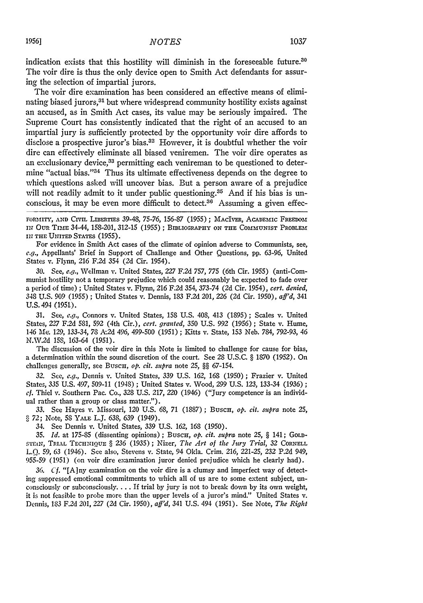indication exists that this hostility will diminish in the foreseeable future.<sup>30</sup> The voir dire is thus the only device open to Smith Act defendants for assuring the selection of impartial jurors.

The voir dire examination has been considered an effective means of eliminating biased jurors,<sup>31</sup> but where widespread community hostility exists against an accused, as in Smith Act cases, its value may be seriously impaired. The Supreme Court has consistently indicated that the right of an accused to an impartial jury is sufficiently protected by the opportunity voir dire affords to disclose a prospective juror's bias.32 However, it is doubtful whether the voir dire can effectively eliminate all biased veniremen. The voir dire operates as an exclusionary device,<sup>33</sup> permitting each venireman to be questioned to determine "actual bias."<sup>34</sup> Thus its ultimate effectiveness depends on the degree to which questions asked will uncover bias. But a person aware of a prejudice will not readily admit to it under public questioning.<sup>35</sup> And if his bias is unconscious, it may be even more difficult to detect.<sup>36</sup> Assuming a given effec-

For evidence in Smith Act cases of the climate of opinion adverse to Communists, see, e.g., Appellants' Brief in Support of Challenge and Other Questions, pp. 63-96, United States v. Flynn, 216 F.2d 354 **(2d** Cir. 1954).

30. See, *e.g.,* Wellman v. United States, 227 F.2d 757, 775 (6th Cir. 1955) (anti-Communist hostility not a temporary prejudice which could reasonably be expected to fade over a period of time) ; United States v. Flynn, *216* F.2d 354, 373-74 (2d Cir. 1954), *cert. denied,* 348 U.S. 909 (1955) ; United States v. Dennis, **183** F.2d 201, 226 (2d Cir. 1950), *aff'd,* 341 U.S. **494 (1951).**

**31.** See, **e.g.,** Connors v. United States, 158 **U.S.** 408, 413 (1895) ; Scales v. United States, *27* F.2d 581, 592 (4th Cir.), *cert. granted,* 350 **U.S.** 992 (1956) ; State v. Hume, 146 **fe.** 129, 133-34, 78 A-2d 496, 499-500 (1951) ; Kitts v. State, 153 Neb. **784,** 792-93, 46 N.W.2d *158,* 163-64 (1951).

The discussion of the voir dire in this Note is limited to challenge for cause for bias, a determination within the sound discretion of the court. See 28 **U.S.C.** § 1870 (1952). On challenges generally, see Buscn, *op. cit.* supra note 25, §§ **67-154.**

*32.* See, *e.g.,* Dennis v. United States, 339 U.S. 162, **168** (1950) ; Frazier v. United States, 335 U.S. 497, 509-11 (1948) ; United States v. Wood, 299 U.S. 123, 133-34 (1936) **;** *cf.* Thiel v. Southern Pac. Co., **328** U.S. 217, 220 (1946) ("Jury competence is an individual rather than a group or class matter.").

**33.** See Hayes **v.** Missouri, 120 **U.S. 68, 71** (1887) ; BuscH, *op. cit. supra* note 25, *§* 72; Note, **58** YALE L.J. *638,* 639 (1949).

34. See Dennis v. United States, 339 U.S. 162, **168** (1950).

35. *Id.* at 175-85 (dissenting opinions); Busch, *op. cit. supra* note 25, § 141; GoLD-**STE ,** TRIAL **TECHmqUE** § 236 (1935) ; Nizer, *The Art of the Jury Trial,* 32 CORNELL L.Q. 59, 63 (1946). See also, Stevens v. State, 94 Okla. Crim. 216, 221-25, 232 P.2d 949, 955-59 (1951) (on voir dire examination juror denied prejudice which he clearly had).

36. *Cf.* "[A]ny examination on the voir dire is a clumsy and imperfect way of detecting suppressed emotional commitments to which all of us are to some extent subject, unconsciously or subconsciously **....** If trial by jury is not to break down by its own weight, it is not feasible to probe more than the upper levels of a juror's mind." United States v. Dennis, **183** F.2d 201, 227 (2d Cir. 1950), *aff'd,* 341 U.S. 494 (1951). See Note, *The Right*

FORMITY, AND CIVIL LIBERTIES 39-48, 75-76, 156-87 (1955) ; MACIVER, ACADEMIC FREEDOM **In** OUR **TIME** 34-44, 158-201, 312-15 (1955) ; **BIBLIOGRAPHY ON THE COMMUNIST PROBLEM IN THE** UNITED **STATES** (1955).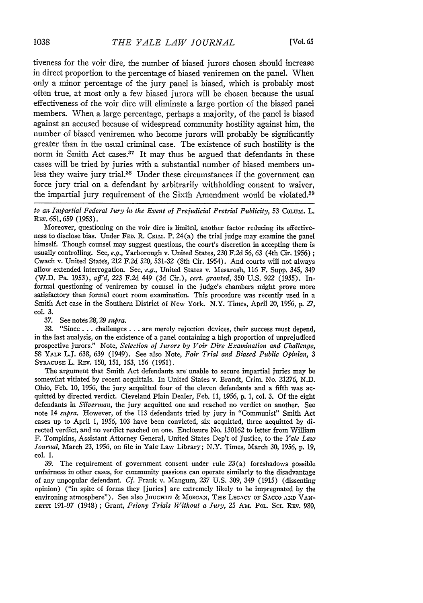tiveness for the voir dire, the number of biased jurors chosen should increase in direct proportion to the percentage of biased veniremen on the panel. When only a minor percentage of the jury panel is biased, which is probably most often true, at most only a few biased jurors will be chosen because the usual effectiveness of the voir dire will eliminate a large portion of the biased panel members. When a large percentage, perhaps a majority, of the panel is biased against an accused because of widespread community hostility against him, the number of biased veniremen who become jurors will probably be significantly greater than in the usual criminal case. The existence of such hostility is the norm in Smith Act cases.<sup>37</sup> It may thus be argued that defendants in these cases will be tried by juries with a substantial number of biased members unless they waive jury trial.<sup>38</sup> Under these circumstances if the government can force jury trial on a defendant by arbitrarily withholding consent to waiver, the impartial jury requirement of the Sixth Amendment would be violated.39

to an Impartial Federal Jury in the Event of Prejudicial Pretrial Publicity, 53 Co<sub>LUM</sub>. L. **REv.** 651, 659 (1953).

Moreover, questioning on the voir dire is limited, another factor reducing its effectiveness to disclose bias. Under **FED.** R. CRIM. P. 24(a) the trial judge may examine the panel himself. Though counsel may suggest questions, the court's discretion in accepting them is usually controlling. See, *e.g.,* Yarborough v. United States, 230 F.2d 56, 63 (4th Cir. 1956) **;** Cwach v. United States, 212 F.2d *520,* 531-32 (8th Cir. 1954). And courts will not always allow extended interrogation. See, e.g., United States v. Mesarosh, 116 F. Supp. 345, 349 (W.D. Pa. 1953), *aff'd,* 223 F.2d 449 (3d Cir.), *cert. granted,* 350 U.S. *922* (1955). Informal questioning of veniremen by counsel in the judge's chambers might prove more satisfactory than formal court room examination. This procedure was recently used in a Smith Act case in the Southern District of New York. N.Y. Times, April 20, 1956, p. 27, col. 3.

37. See notes 28,29 *supra.*

38. "Since ... challenges **...** are merely rejection devices, their success must depend, in the last analysis, on the existence of a panel containing a high proportion of unprejudiced prospective jurors." Note, *Selection of Jurors by Voir Dire Examination and Challenge,* 58 YALE L.J. 638, 639 (1949). See also Note, *Fair Trial and Biased Public Opinion, 3* SYRACUSE L. REV. 150, 151, 153, 156 (1951).

The argument that Smith Act defendants are unable to secure impartial juries may be somewhat vitiated by recent acquittals. In United States v. Brandt, Crim. No. 21276, N.D. Ohio, Feb. 10, 1956, the jury acquitted four of the eleven defendants and a fifth was acquitted by directed verdict. Cleveland Plain Dealer, Feb. 11, *1956,* p. 1, col. 3. Of the eight defendants in *Silverman,* the jury acquitted one and reached no verdict on another. See note 14 *supra.* However, of the 113 defendants tried by jury in "Communist" Smith Act cases up to April 1, 1956, 103 have been convicted, six acquitted, three acquitted by directed verdict, and no verdict reached on one. Enclosure No. 130162 to letter from William F. Tompkins, Assistant Attorney General, United States Dep't of Justice, to the *Yale Law Journal,* March 23, 1956, on file in Yale Law Library; N.Y. Times, March 30, 1956, p. 19, col. **1.**

39. The requirement of government consent under rule 23(a) foreshadows possible unfairness in other cases, for community passions can operate similarly to the disadvantage of any unpopular defendant. *Cf.* Frank v. Mangum, 237 U.S. 309, 349 (1915) (dissenting opinion) ("in spite of forms they [juries] are extremely likely to be impregnated by the environing atmosphere"). See also JOUGHIN & MORGAN, **THE LEGACY** OF **SACCO AND VAN**zETTI 191-97 (1948); Grant, Felony Trials Without a Jury, 25 AM. Pol. Sci. REv. 980,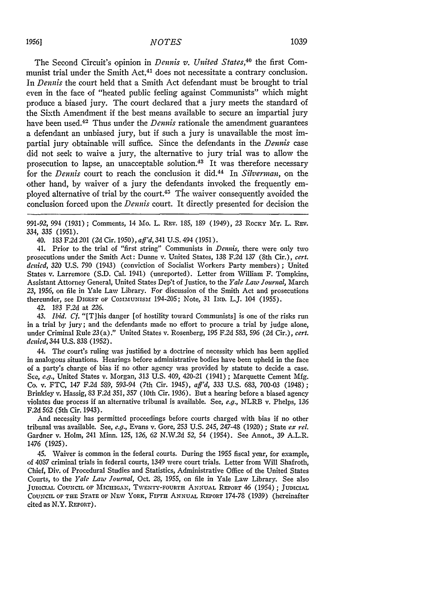The Second Circuit's opinion in *Dennis v. United States*,<sup>40</sup> the first Communist trial under the Smith Act,<sup>41</sup> does not necessitate a contrary conclusion. In *Dennis* the court held that a Smith Act defendant must be brought to trial even in the face of "heated public feeling against Communists" which might produce a biased jury. The court declared that a jury meets the standard of the Sixth Amendment if the best means available to secure an impartial jury have been used.<sup>42</sup> Thus under the *Dennis* rationale the amendment guarantees a defendant an unbiased jury, but if such a jury is unavailable the most impartial jury obtainable will suffice. Since the defendants in the *Dennis* case did not seek to waive a jury, the alternative to jury trial was to allow the prosecution to lapse, an unacceptable solution.43 It was therefore necessary for the *Dennis* court to reach the conclusion it did.44 In *Silverman,* on the other hand, by waiver of a jury the defendants invoked the frequently employed alternative of trial by the court. $\rm ^{45}$  The waiver consequently avoided the conclusion forced upon the *Dennis* court. It directly presented for decision the

991-92, 994 (1931); Comments, 14 Mo. L. REv. 185, 189 (1949), 23 ROCKY **Mr.** L. **REv.** 334, 335 (1951.).

40. 183 F.2d 201 **(2d** Cir. 1950), aff'd, 341 U.S. 494 (1951).

41. Prior to the trial of "first string" Communists in *Dennis,* there were only two prosecutions under the Smith Act: Dunne v. United States, 138 F.2d 137 (8th Cir.), *cert. denied,* 320 U.S. **790** (1943) (conviction of Socialist Workers Party members) ; United States v. Larremore (S.D. Cal. 1941) (unreported). Letter from William F. Tompkins, Assistant Attorney General, United States Dep't of Justice, to the *Yale Law Jcornal,* March *23,* 1956, on file in Yale Law Library. For discussion of the Smith Act and prosecutions thereunder, see DIGEST OF COMMUNISM 194-205; Note, 31 IND. L.J. 104 (1955).

42. 183 F.2d at 226.

43. *Ibid. Cf.* "[TIhis danger [of hostility toward Communists] is one of the risks run in a trial by jury; and the defendants made no effort to procure a trial by judge alone, under Criminal Rule 23(a)." United States v. Rosenberg, 195 F.2d 583, 596 (2d Cir.), *cert. denied,* 344 U.S. 838 (1952).

44. The court's ruling was justified by a doctrine of necessity which has been applied in analogous situations. Hearings before administrative bodies have been upheld in the face of a party's charge of bias if no other agency was provided by statute to decide a case. See, *e.g.,* United States v. Morgan, 313 U.S. 409, 420-21 (1941) ; Marquette Cement Mfg. Co. v. FTC, 147 F.2d 589, 593-94 (7th Cir. 1945), aff'd, 333 U.S. 683, 700-03 (1948); Brinkley v. Hassig, 83 F.2d 351, 357 (10th Cir. 1936). But a hearing before a biased agency violates due process if an alternative tribunal is available. See, *e.g.,* NLRB v. Phelps, 136 F.2d 562 (5th Cir. 1943).

And necessity has permitted proceedings before courts charged with bias if no other tribunal was available. See, *e.g.,* Evans v. Gore, **253 U.S.** 245, 247-48 (1920) ; State *'ex rel.* Gardner v. Holm, 241 Minn. **125,** *126, 62* **N.W.2d 52,** 54 (1954). See Annot., **39** A.L.R. 1476 **(1925).**

45. Waiver is common in the federal courts. During the **1955** fiscal year, for example, of 4087 criminal trials in federal courts, 1349 were court trials. Letter from Will Shafroth, Chief, Div. of Procedural Studies and Statistics, Administrative Office of the United States Courts, to the *Yale Law Jourzal,* Oct. 28, 1955, on file in Yale Law Library. See also JUDICIAL **COUNCIL OF MICHIGAN,** TWENTY-FOURTH **ANNUAL** REPORT 46 (1954) ; **JUDICIAL COUNCIL OF** THE **STATE OF NEW** YORK, **FIrTH** ANNUAL **REPORT** 174-78 (1939) (hereinafter cited as N.Y. **REPORT).**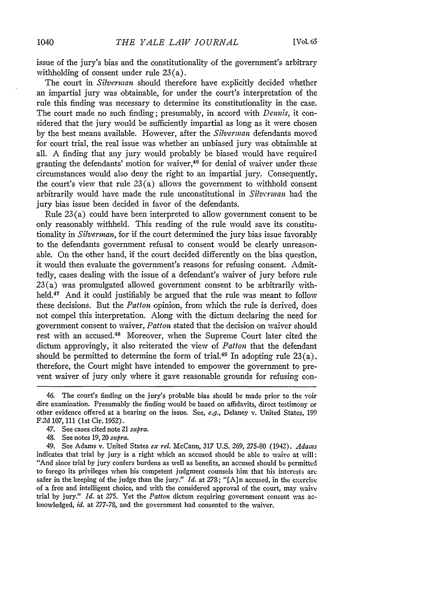issue of the jury's bias and the constitutionality of the government's arbitrary withholding of consent under rule 23(a).

The court in *Silverman* should therefore have explicitly decided whether an impartial jury was obtainable, for under the court's interpretation of the rule this finding was necessary to determine its constitutionality in the case. The court made no such finding; presumably, in accord with *Dennis,* it considered that the jury would be sufficiently impartial as long as it were chosen by the best means available. However, after the *Silverman* defendants moved for court trial, the real issue was whether an unbiased jury was obtainable at all. A finding that any jury would probably be biased would have required granting the defendants' motion for waiver, 46 for denial of waiver under these circumstances would also deny the right to an impartial jury. Consequently, the court's view that rule  $23(a)$  allows the government to withhold consent arbitrarily would have made the rule unconstitutional in *Silverman* had the jury bias issue been decided in favor of the defendants.

Rule 23(a) could have been interpreted to allow government consent to be only reasonably withheld. This reading of the rule would save its constitutionality in *Silverman,* for if the court determined the jury bias issue favorably to the defendants government refusal to consent would be clearly unreasonable. On the other hand, if the court decided differently on the bias question, it would then evaluate the government's reasons for refusing consent. Admittedly, cases dealing with the issue of a defendant's waiver of jury before rule 23(a) was promulgated allowed government consent to be arbitrarily withheld.<sup>47</sup> And it could justifiably be argued that the rule was meant to follow these decisions. But the *Patton* opinion, from which the rule is derived, does not compel this interpretation. Along with the dictum declaring the need for government consent to waiver, *Patton* stated that the decision on waiver should rest with an accused. 48 Moreover, when the Supreme Court later cited the dictum approvingly, it also reiterated the view of *Patton* that the defendant should be permitted to determine the form of trial.<sup>49</sup> In adopting rule  $23(a)$ , therefore, the Court might have intended to empower the government to prevent waiver of jury only where it gave reasonable grounds for refusing con-

<sup>46.</sup> The court's finding on the jury's probable bias should be made prior to the voir dire examination. Presumably the finding would be based on affidavits, direct testimony or other evidence offered at a hearing on the issue. See, **e.g.,** Delaney v. United States, **199 F.2d 107,** 111 (1st Cir. **1952).**

<sup>47.</sup> See cases cited note 21 *supra.*

<sup>48.</sup> See notes *19,20 sxpra.*

<sup>49.</sup> See Adams v. United States **ex** *rel.* McCann, **317 U.S.** 269, **275-80** (1942). *Adams* indicates that trial **by** jury is a right which an accused should be able to waive at will: "And since trial **by** jury confers burdens as well as benefits, an accused should be permitted to forego its privileges when his competent judgment counsels him that his interests are safer in the keeping of the judge than the jury." *Id.* at **278;** "[A]n accused, in the exercise of a free and intelligent choice, and with the considered approval of the court, may waive trial **by** jury." *Id.* at **275.** Yet the *Patton* dictum requiring government consent was acknowledged, *id.* at **277-78,** and the government had consented to the waiver.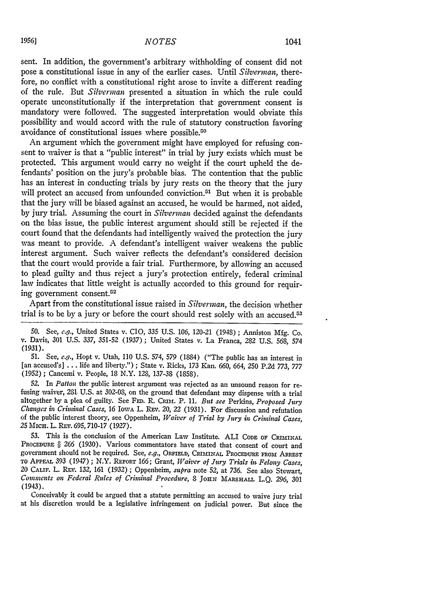sent. In addition, the government's arbitrary withholding of consent did not pose a constitutional issue in any of the earlier cases. Until *Silverman,* therefore, no conflict with a constitutional right arose to invite a different reading of the rule. But *Silverman* presented a situation in which the rule could operate unconstitutionally if the interpretation that government consent is mandatory were followed. The suggested interpretation would obviate this possibility and would accord with the rule of statutory construction favoring avoidance of constitutional issues where possible.<sup>50</sup>

An argument which the government might have employed for refusing consent to waiver is that a "public interest" in trial by jury exists which must be protected. This argument would carry no weight if the court upheld the defendants' position on the jury's probable bias. The contention that the public has an interest in conducting trials by jury rests on the theory that the jury will protect an accused from unfounded conviction.<sup>51</sup> But when it is probable that the jury will be biased against an accused, he would be harmed, not aided, by jury trial. Assuming the court in *Silverman* decided against the defendants on the bias issue, the public interest argument should still be rejected if the court found that the defendants had intelligently waived the protection the jury was meant to provide. A defendant's intelligent waiver weakens the public interest argument. Such waiver reflects the defendant's considered decision that the court would provide a fair trial. Furthermore, by allowing an accused to plead guilty and thus reject a jury's protection entirely, federal criminal law indicates that little weight is actually accorded to this ground for requiring government consent.<sup>52</sup>

Apart from the constitutional issue raised in *Silverman,* the decision whether trial is to be by a jury or before the court should rest solely with an accused.<sup>53</sup>

50. See, *e.g.,* United States v. CIO, 335 U.S. 106, 120-21 (1948) ; Anniston Mfg. Co. v. Davis, 301 U.S. *337,* 351-52 (1937); United States v. La Franca, 282 U.S. 568, 574 (1931).

51. See, *e.g.,* Hopt v. Utah, 110 U.S. 574, 579 (1884) ("The public has an interest in [an accused's] ... life and liberty.") ; State v. Ricks, 173 Kan. 660, 664, 250 P.2d 773, 777 (1952) ; Cancemi v. People, 18 N.Y. 128, 137-38 (1858).

52. In *Patton* the public interest argument was rejected as an unsound reason for refusing waiver, 281 U.S. at 302-08, on the ground that defendant may dispense with a trial altogether by a plea of guilty. See **FED.** R. CRIM. P. 11. *But see* Perkins, *Proposed Jury Changes in Criminal Cases, 16* IowA L. REv. 20, 22 (1931). For discussion and refutation of the public interest theory, see Oppenheim, *Waiver of Trial by Jury in Criminal Cases,* 25 MICH. L. REv. 695, 710-17 (1927).

53. This is the conclusion of the American Law Institute. ALI **CODE** OF CRIMINAL PROCEDURE § **266** (1930). Various commentators have stated that consent of court and government should not be required. See, *e.g.,* ORFIELD, CRIMINAL PROCEDURE FROM ARREST TO **APP.AL** 393 (1947) ; N.Y. REPORT 166; Grant, *Waiver of Jury Trials in. Felony Cases,* 20 CALIF. L. REv. 132, 161 (1932) ; Oppenheim, *supra* note 52, at 736. See also Stewart, *Comments on Federal Rules of Criminal Procedure, 8 JOHN MARSHALL L.Q. 296, 301* (1943).

Conceivably it could be argued that a statute permitting an accused to waive jury trial at his discretion would be a legislative infringement on judicial power. But since the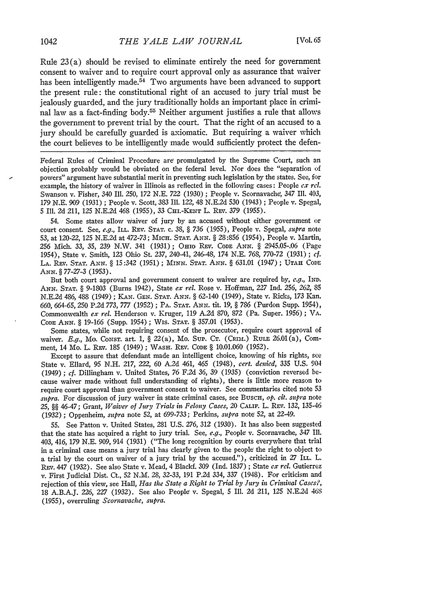Rule 23(a) should be revised to eliminate entirely the need for government consent to waiver and to require court approval only as assurance that waiver has been intelligently made.<sup>54</sup> Two arguments have been advanced to support the present rule: the constitutional right of an accused to jury trial must be jealously guarded, and the jury traditionally holds an important place in criminal law as a fact-finding body.<sup>55</sup> Neither argument justifies a rule that allows the government to prevent trial by the court. That the right of an accused to a jury should be carefully guarded is axiomatic. But requiring a waiver which the court believes to be intelligently made would sufficiently protect the defen-

Federal Rules of Criminal Procedure are promulgated by the Supreme Court, such an objection probably would be obviated on the federal level. Nor does the "separation **of** powers" argument have substantial merit in preventing such legislation by the states. See, for example, the history of waiver in Illinois as reflected in the following cases: People *cx rel.* Swanson v. Fisher, 340 Ill. 250, 172 N.E. 722 (1930) ; People v. Scornavache, 347 Ill. 403, *179* N.E. 909 (1931) ; People v. Scott, 383 Ill. 122, 48 N.E.2d 530 (1943) ; People v. Spegal, 5 Ill. 2d 211, 125 N.E.2d 468 (1955), 33 CHI.-KENT L. REV. 379 (1955).

54. Some states allow waiver of jury by an accused without either government or court consent. See, *e.g.,* ILL. REV. **STAT.** c. 38, § 736 (1955), People v. Spegal, *supra* note 53, at 120-22, 125 N.E.2d at 472-73; MIcH. **STAT. ANN.** § 28:856 (1954), People v. Martin, 256 Mich. 33, 35, 239 N.W. 341 (1931); OHIO **REv. CODE** *ANN.* § 2945.05-.06 (Page 1954), State v. Smith, 123 Ohio St. 237, 240-41, 246-48, 174 N.E. 768, 770-72 (1931) ; *cf.* **LA.** Rav. **STAT.** ANN. § 15:342 (1951); MINN. **STAT. ANN.** § 631.01 (1947); **UTAH CODE** *ANN.* § 77-27-3 (1953).

But both court approval and government consent to waiver are required by, *e.g., IND. ANN.* **STAT.** § 9-1803 (Burns 1942), State *ex rel.* Rose v. Hoffman, *227* Ind. 256, 262, 85 N.E.2d 486, 488 (1949); KAN. **GEN. STAT. ANN.** § 62-140 (1949), State v. Ricks, 173 Kan. 660, 664-65, 250 P.2d 773, 777 (1952) ; PA. **STAT. ANN.** tit. 19, § 786 (Purdon Supp. 1954), Commonwealth *ex rel.* Henderson v. Kruger, 119 A.2d 870, 872 (Pa. Super. 1956) ; VA. CODE **ANN.** § 19-166 (Supp. 1954) ; Wis. **STAT.** § 357.01 (1953).

Some states, while not requiring consent of the prosecutor, require court approval of waiver. E.g., Mo. Consr. art. 1, § 22(a), Mo. Sup. Cr. (CRIM.) Rule 26.01(a), Comment, 14 Mo. L. REv. 185 (1949) ; WASH. **REV.** CODE § 10.01.060 (1952).

Except to assure that defendant made an intelligent choice, knowing of his rights, see State v. Ellard, 95 N.H. 217, 222, 60 A.2d 461, 465 (1948), *cert. denied,* 335 U.S. 904 (1949) ; *cf.* Dillingham v. United States, 76 F.2d 36, 39 (1935) (conviction reversed because waiver made without full understanding of rights), there is little more reason to require court approval than government consent to waiver. See commentaries cited note 53 *supra.* For discussion of jury waiver in state criminal cases, see BuscH, *op. cit. supra* note *25,* §§ 46-47; Grant, *Waiver of Jury Trials in Felony Cases,* 20 **CALIF.** L. REv. 132, 135-46 (1932) ; Oppenheim, *supra* note 52, at 699-733; Perkins, *supra* note 52, at 2249.

55. See Patton v. United States, 281 U.S. 276, 312 (1930). It has also been suggested that the state has acquired a right to jury trial. See, *e.g.,* People v. Scornavache, 347 Ill. 403, 416, 179 N.E. 909, 914 (1931) ("The long recognition by courts everywhere that trial in a criminal case means a jury trial has clearly given to the people the right to object to a trial by the court on waiver of a jury trial by the accused."), criticized in 27 ILL. L. REv. 447 (1932). See also State v. Mead, 4 Blackf. 309 (Ind. 1837) ; State *cx rel.* Gutierrez v. First Judicial Dist. Ct., 52 N.M. 28, 32-33, 191 P.2d 334, *337* (1948). For criticism and rejection of this view, see Hall, *Has the State a Right to Trial by Jury in Criminal Cases?,* 18 A.B.A.J. 226, 227 (1932). See also People v. Spegal, **5** Ill. 2d 211, 125 N.E.2d 468 (1955), overruling *Scornavache, supra.*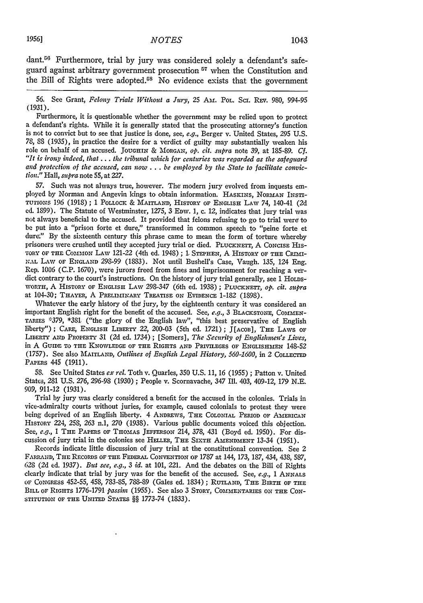dant.<sup>56</sup> Furthermore, trial by jury was considered solely a defendant's safeguard against arbitrary government prosecution <sup>57</sup> when the Constitution and the Bill of Rights were adopted.<sup>58</sup> No evidence exists that the government

56. See Grant, *Felony Trials Without a Jury*, 25 Am. Pol. Sci. REV. 980, 994-95 (1931).

Furthermore, it is questionable whether the government may be relied upon to protect a defendant's rights. While it is generally stated that the prosecuting attorney's function is not to convict but to see that justice is done, see, *e.g.,* Berger v. United States, 295 U.S. **78,** 88 (1935), in practice the desire for a verdict of guilty may substantially weaken his role on behalf of an accused. JOUGHIN & **MORGAN,** *op. cit. supra* note 39, at 185-89. *Cf.* "It is irony indeed, that ... the tribunal which for centuries was regarded as the safeguard *and protection of the accused, can now* **.** *.* **.** *be employed by the State to facilitate conviction."* Hall, *supra* note **55,** at **227.**

**57.** Such was not always true, however. The modern jury evolved from inquests employed **by** Norman and Angevin kings to obtain information. HASKINS, NORMAN INSTI-**TUTIONS** 196 **(1918); 1 POLLOCK** & MAITLAND, HISTORY or ENGLISH LAW *74,* 140-41 (2d ed. 1899). The Statute of Westminster, **1275,** 3 EDW. 1, **c.** 12, indicates that jury trial was not always beneficial to the accused. It provided that felons refusing to go to trial were to be put into a "prison forte et dure," transformed in common speech to "peine forte et dure." By the sixteenth century this phrase came to mean the form of torture whereby prisoners were crushed until they accepted jury trial or died. PLUcKNET, A CONCISE HIS-TORY **OF THE** COMMON LAW 121-22 (4th ed. 1948) ; 1 **STEPHEN,** A HISTORY OF THE CRri-**NAL** LAW **OF** ENGLAND 298-99 (1883). Not until Bushell's Case, Vaugh. 135, 124 Eng. Rep. 1006 (C.P. 1670), were jurors freed from fines and imprisonment for reaching a verdict contrary to the court's instructions. On the history of jury trial generally, see **1 HOLDS-**WORTH, A HISTORY OF ENGLISH LAW 298-347 (6th ed. 1938) ; PLUCKNETT, op. cit. supra at 104-30; THAYER, A **PRELIMINARY** TRATISE **ON** EVIDENCE 1-182 (1898).

Whatever the early history of the jury, by the eighteenth century it was considered an important English right for the benefit of the accused. See, *e.g.,* 3 BLACKSTONE, **COMMEN-**TARIES *t379,* \*381 ("the glory of the English law", "this best preservative **of** English liberty"); CARE, **ENGLISH** LIBERTY 22, 200-03 (5th ed. 1721); J[AcoB], **THE** LAws OF LIBERTY **AND** PROPERTY 31 (2d ed. 1734); [Somers], *The Security of Englishmen's Lives,* in **A** GumE TO **THE** KNOWLEDGE OF **THE** RIGHTS **AND** PRIVILESs **OF** ENGLISHMEN 148-52 (1757). See also **MAITLAND,** *Outlines of English Legal History, 560-1600,* in 2 COLLECTED **PAPERS** 445 (1911).

58. See United States *ex rel.* Toth v. Quarles, 350 U.S. 11, 16 (1955) ; Patton v. United States, 281 U.S. 276, 296-98 (1930) ; People v. Scornavache, 347 Ill. 403, 409-12, 179 N.E. 909, **911-12 (1931).**

Trial by jury was clearly considered a benefit for the accused in the colonies. Trials in vice-admiralty courts without juries, for example, caused colonials to protest they were being deprived of an English liberty. 4 ANDREWS, THE COLONIAL PERIOD **OF** AMERICAN HISTORY 224, 258, *263* n.1, **270** (1938). Various public documents voiced this objection. See, *e.g.,* **1** THE PAPERS OF THOMAS **JEFFERSON** 214, 378, 431 (Boyd ed. 1950). For discussion of jury trial in the colonies see HELLER, THE SIXTH **AMENDMENT** 13-34 **(1951).**

Records indicate little discussion of jury trial at the constitutional convention. See *2* FARRAND, **THE** REcoRDs OF **THE** FEDERAL CONVENTION OF **1787** at 144, **173,** 187, 434, 438, 587, *628* (2d ed. 1937). *But see, e.g., 3 id.* at 101, 221. And the debates on the Bill of Rights clearly indicate that trial by jury was for the benefit of the accused. See, *e.g.,* 1 **ANNALS OF** CONGRESS 452-55, 458, 783-85, 788-89 (Gales ed. 1834); RUTLAND, THE BIRTH OF **THE** BILL OF RIGHTS 1776-1791 *passim* (1955). See also 3 STORY, COMMENTARIES ON **THE** CON-STITUTION OF **THE** UNITED **STATES** §§ *1773-74* (1833).